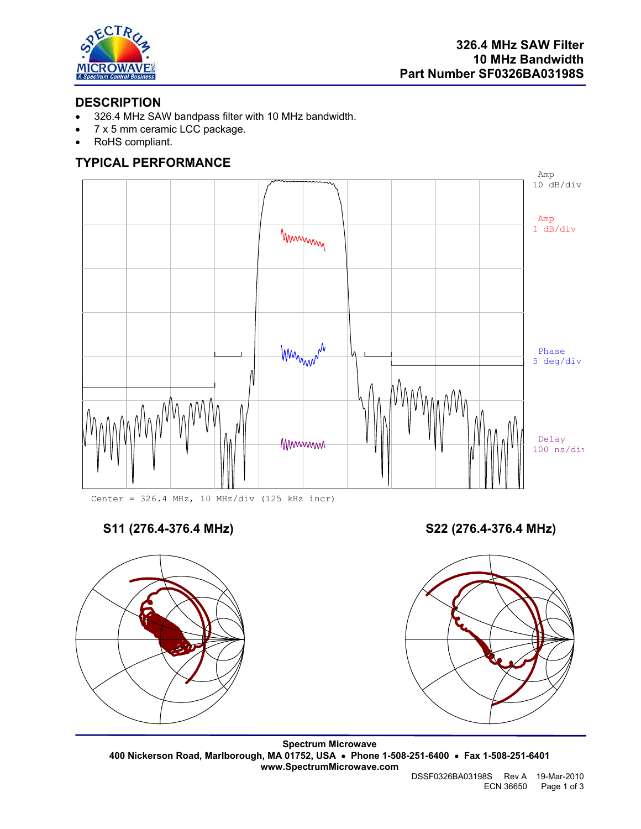

## **DESCRIPTION**

- 326.4 MHz SAW bandpass filter with 10 MHz bandwidth.
- 7 x 5 mm ceramic LCC package.
- RoHS compliant.

## **TYPICAL PERFORMANCE**



Center = 326.4 MHz, 10 MHz/div (125 kHz incr)

**S11 (276.4-376.4 MHz) S22 (276.4-376.4 MHz)** 



**Spectrum Microwave 400 Nickerson Road, Marlborough, MA 01752, USA** • **Phone 1-508-251-6400** • **Fax 1-508-251-6401 www.SpectrumMicrowave.com** 

 DSSF0326BA03198S Rev A 19-Mar-2010 ECN 36650 Page 1 of 3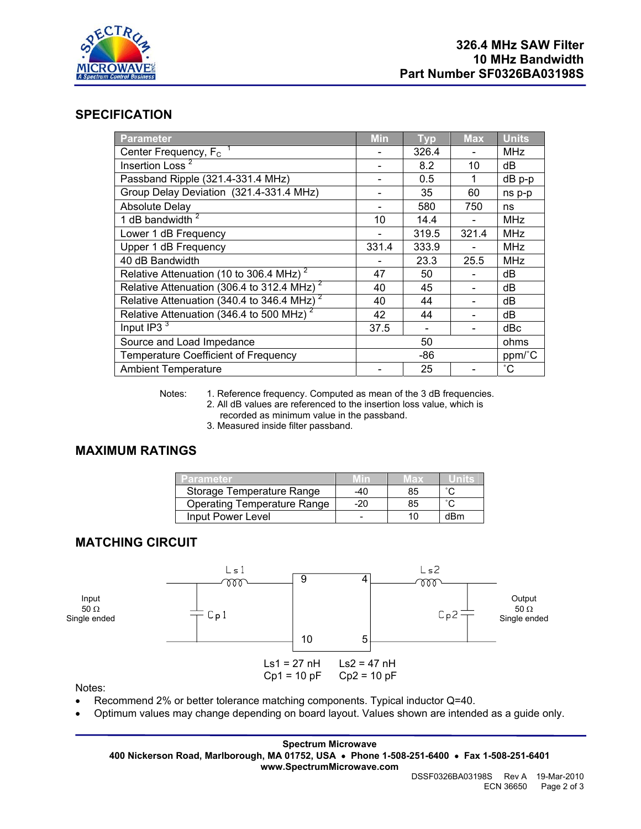

#### **SPECIFICATION**

| <b>Parameter</b>                                         | <b>Min</b> | <b>Typ</b> | <b>Max</b> | <b>Units</b> |
|----------------------------------------------------------|------------|------------|------------|--------------|
| Center Frequency, $F_c$ <sup>1</sup>                     |            | 326.4      |            | <b>MHz</b>   |
| Insertion Loss <sup>2</sup>                              |            | 8.2        | 10         | dВ           |
| Passband Ripple (321.4-331.4 MHz)                        |            | 0.5        | 1          | $dB$ p-p     |
| Group Delay Deviation (321.4-331.4 MHz)                  |            | 35         | 60         | ns p-p       |
| <b>Absolute Delay</b>                                    |            | 580        | 750        | ns           |
| 1 dB bandwidth $2$                                       | 10         | 14.4       |            | <b>MHz</b>   |
| Lower 1 dB Frequency                                     |            | 319.5      | 321.4      | <b>MHz</b>   |
| Upper 1 dB Frequency                                     | 331.4      | 333.9      |            | <b>MHz</b>   |
| 40 dB Bandwidth                                          |            | 23.3       | 25.5       | <b>MHz</b>   |
| Relative Attenuation (10 to 306.4 MHz) <sup>2</sup>      | 47         | 50         |            | dB           |
| Relative Attenuation (306.4 to 312.4 MHz) $^2$           | 40         | 45         |            | dB           |
| Relative Attenuation (340.4 to $346.4$ MHz) <sup>2</sup> | 40         | 44         |            | dB           |
| Relative Attenuation (346.4 to 500 MHz) <sup>2</sup>     | 42         | 44         |            | dB           |
| Input $\overline{IP3}$ <sup>3</sup>                      | 37.5       |            |            | dBc          |
| Source and Load Impedance                                | 50         |            |            | ohms         |
| <b>Temperature Coefficient of Frequency</b>              | -86        |            |            | ppm/°C       |
| <b>Ambient Temperature</b>                               |            | 25         |            | $^{\circ}$ C |

Notes: 1. Reference frequency. Computed as mean of the 3 dB frequencies.

- 2. All dB values are referenced to the insertion loss value, which is recorded as minimum value in the passband.
- 3. Measured inside filter passband.

#### **MAXIMUM RATINGS**

| Parameter.                         | W n | vlax |        |
|------------------------------------|-----|------|--------|
| Storage Temperature Range          | -40 | 85   | $\sim$ |
| <b>Operating Temperature Range</b> | -20 | 85   |        |
| Input Power Level                  |     |      | dBm    |

## **MATCHING CIRCUIT**



Notes:

- Recommend 2% or better tolerance matching components. Typical inductor Q=40.
- Optimum values may change depending on board layout. Values shown are intended as a guide only.

**Spectrum Microwave 400 Nickerson Road, Marlborough, MA 01752, USA** • **Phone 1-508-251-6400** • **Fax 1-508-251-6401 www.SpectrumMicrowave.com**